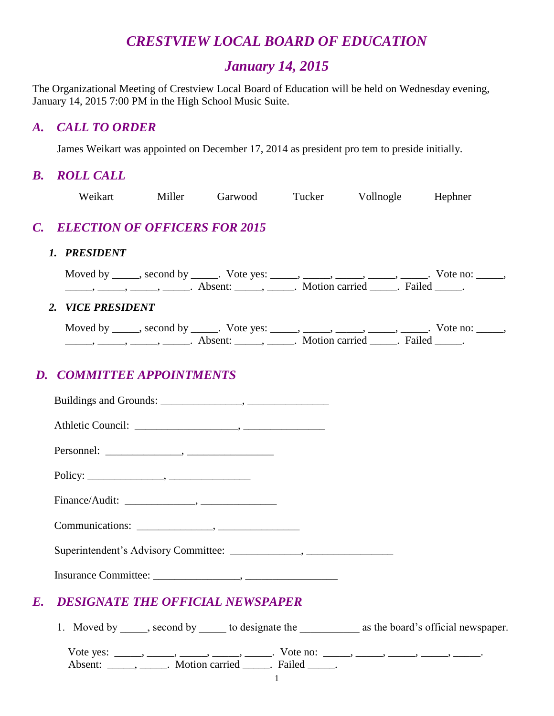# *CRESTVIEW LOCAL BOARD OF EDUCATION*

# *January 14, 2015*

The Organizational Meeting of Crestview Local Board of Education will be held on Wednesday evening, January 14, 2015 7:00 PM in the High School Music Suite.

#### *A. CALL TO ORDER*

James Weikart was appointed on December 17, 2014 as president pro tem to preside initially.

## *B. ROLL CALL*

| Weikart                          |  | Miller Garwood Tucker Vollnogle Hephner                                                                                                                                                                                                                                                                                                                                                                                          |  |
|----------------------------------|--|----------------------------------------------------------------------------------------------------------------------------------------------------------------------------------------------------------------------------------------------------------------------------------------------------------------------------------------------------------------------------------------------------------------------------------|--|
| C. ELECTION OF OFFICERS FOR 2015 |  |                                                                                                                                                                                                                                                                                                                                                                                                                                  |  |
| 1. PRESIDENT                     |  |                                                                                                                                                                                                                                                                                                                                                                                                                                  |  |
|                                  |  | Moved by _____, second by _____. Vote yes: _____, _____, _____, _____, _____. Vote no: _____,<br>$\frac{1}{1}$ , $\frac{1}{1}$ , $\frac{1}{1}$ , $\frac{1}{1}$ , $\frac{1}{1}$ , $\frac{1}{1}$ , $\frac{1}{1}$ , $\frac{1}{1}$ , $\frac{1}{1}$ , $\frac{1}{1}$ , $\frac{1}{1}$ , $\frac{1}{1}$ , $\frac{1}{1}$ , $\frac{1}{1}$ , $\frac{1}{1}$ , $\frac{1}{1}$ , $\frac{1}{1}$ , $\frac{1}{1}$ , $\frac{1}{1}$ , $\frac{1}{1}$ , |  |
| 2. VICE PRESIDENT                |  |                                                                                                                                                                                                                                                                                                                                                                                                                                  |  |
|                                  |  | Moved by _____, second by _____. Vote yes: _____, _____, _____, _____, _____. Vote no: _____,<br>$\frac{1}{1}$ , $\frac{1}{1}$ , $\frac{1}{1}$ , $\frac{1}{1}$ , $\frac{1}{1}$ , $\frac{1}{1}$ , $\frac{1}{1}$ , $\frac{1}{1}$ , $\frac{1}{1}$ , $\frac{1}{1}$ , $\frac{1}{1}$ , $\frac{1}{1}$ , $\frac{1}{1}$ , $\frac{1}{1}$ , $\frac{1}{1}$ , $\frac{1}{1}$ , $\frac{1}{1}$ , $\frac{1}{1}$ , $\frac{1}{1}$ , $\frac{1}{1}$ , |  |

# *D. COMMITTEE APPOINTMENTS*

| E. | <b>DESIGNATE THE OFFICIAL NEWSPAPER</b>                                                                                                           |
|----|---------------------------------------------------------------------------------------------------------------------------------------------------|
|    | 1. Moved by ______, second by ______ to designate the _________________ as the board's official newspaper.                                        |
|    | Vote yes: _____, _____, _____, _____, Vote no: ____, _____, _____, _____, ______,<br>Absent: ______, ______. Motion carried ______. Failed _____. |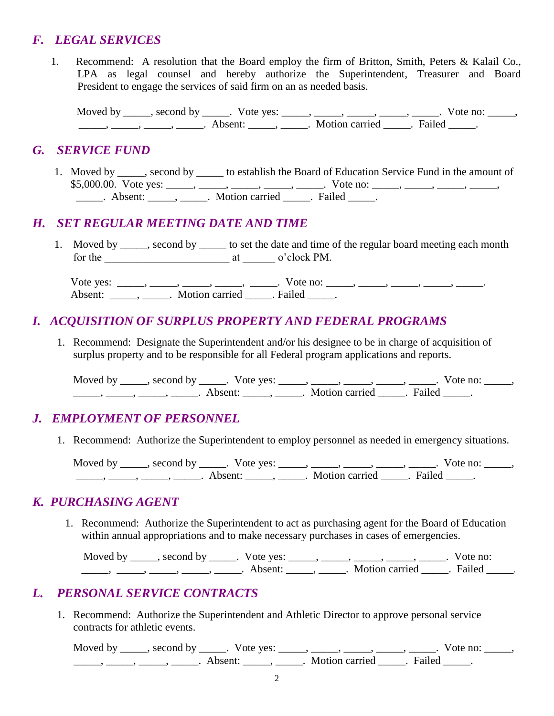#### *F. LEGAL SERVICES*

1. Recommend: A resolution that the Board employ the firm of Britton, Smith, Peters & Kalail Co., LPA as legal counsel and hereby authorize the Superintendent, Treasurer and Board President to engage the services of said firm on an as needed basis.

Moved by \_\_\_\_\_, second by \_\_\_\_\_. Vote yes: \_\_\_\_\_, \_\_\_\_\_, \_\_\_\_\_, \_\_\_\_\_, \_\_\_\_\_. Vote no: \_\_\_\_\_, \_\_\_\_\_, \_\_\_\_\_, \_\_\_\_\_, \_\_\_\_\_. Absent: \_\_\_\_\_, \_\_\_\_\_. Motion carried \_\_\_\_\_. Failed \_\_\_\_\_.

#### *G. SERVICE FUND*

1. Moved by \_\_\_\_\_, second by \_\_\_\_\_ to establish the Board of Education Service Fund in the amount of \$5,000.00. Vote yes: \_\_\_\_, \_\_\_\_, \_\_\_\_, \_\_\_\_, \_\_\_\_, Vote no: \_\_\_\_, \_\_\_\_, \_\_\_\_, \_\_\_\_, \_\_\_\_, \_\_\_\_\_. Absent: \_\_\_\_\_, \_\_\_\_\_. Motion carried \_\_\_\_\_. Failed \_\_\_\_\_.

#### *H. SET REGULAR MEETING DATE AND TIME*

1. Moved by second by to set the date and time of the regular board meeting each month for the \_\_\_\_\_\_\_\_\_\_\_\_\_\_\_\_\_\_\_\_\_\_\_ at \_\_\_\_\_\_ o'clock PM.

Vote yes: \_\_\_\_\_, \_\_\_\_\_, \_\_\_\_\_, \_\_\_\_\_, Vote no: \_\_\_\_\_, \_\_\_\_\_, \_\_\_\_\_, \_\_\_\_\_, \_\_\_\_\_\_, Absent: \_\_\_\_\_\_\_\_\_\_\_. Motion carried \_\_\_\_\_\_. Failed \_\_\_\_\_\_.

#### *I. ACQUISITION OF SURPLUS PROPERTY AND FEDERAL PROGRAMS*

1. Recommend: Designate the Superintendent and/or his designee to be in charge of acquisition of surplus property and to be responsible for all Federal program applications and reports.

Moved by \_\_\_\_\_, second by \_\_\_\_\_. Vote yes: \_\_\_\_\_, \_\_\_\_\_, \_\_\_\_\_, \_\_\_\_\_, \_\_\_\_\_. Vote no: \_\_\_\_\_, \_\_\_\_\_, \_\_\_\_\_, \_\_\_\_\_, \_\_\_\_\_. Absent: \_\_\_\_\_, \_\_\_\_\_. Motion carried \_\_\_\_\_. Failed \_\_\_\_\_.

# *J. EMPLOYMENT OF PERSONNEL*

1. Recommend: Authorize the Superintendent to employ personnel as needed in emergency situations.

Moved by \_\_\_\_\_, second by \_\_\_\_\_. Vote yes: \_\_\_\_\_, \_\_\_\_\_, \_\_\_\_\_, \_\_\_\_\_, \_\_\_\_\_. Vote no: \_\_\_\_\_,  $\frac{1}{\sqrt{2}}$ ,  $\frac{1}{\sqrt{2}}$ ,  $\frac{1}{\sqrt{2}}$ ,  $\frac{1}{\sqrt{2}}$ ,  $\frac{1}{\sqrt{2}}$ ,  $\frac{1}{\sqrt{2}}$ ,  $\frac{1}{\sqrt{2}}$ ,  $\frac{1}{\sqrt{2}}$ ,  $\frac{1}{\sqrt{2}}$ ,  $\frac{1}{\sqrt{2}}$ ,  $\frac{1}{\sqrt{2}}$ ,  $\frac{1}{\sqrt{2}}$ ,  $\frac{1}{\sqrt{2}}$ ,  $\frac{1}{\sqrt{2}}$ ,  $\frac{1}{\sqrt{2}}$ ,  $\frac{1}{\sqrt{2}}$ 

#### *K. PURCHASING AGENT*

1. Recommend: Authorize the Superintendent to act as purchasing agent for the Board of Education within annual appropriations and to make necessary purchases in cases of emergencies.

Moved by \_\_\_\_\_, second by \_\_\_\_\_. Vote yes: \_\_\_\_\_, \_\_\_\_\_, \_\_\_\_\_, \_\_\_\_\_, \_\_\_\_. Vote no: \_\_\_\_\_, \_\_\_\_\_, \_\_\_\_\_, \_\_\_\_\_, \_\_\_\_\_. Absent: \_\_\_\_\_, \_\_\_\_\_. Motion carried \_\_\_\_\_. Failed \_\_\_\_\_.

#### *L. PERSONAL SERVICE CONTRACTS*

1. Recommend: Authorize the Superintendent and Athletic Director to approve personal service contracts for athletic events.

Moved by \_\_\_\_\_, second by \_\_\_\_\_. Vote yes: \_\_\_\_\_, \_\_\_\_\_, \_\_\_\_\_, \_\_\_\_\_, \_\_\_\_\_. Vote no: \_\_\_\_\_, ———, ———, ———, Absent: ———, ———. Motion carried ———. Failed ——.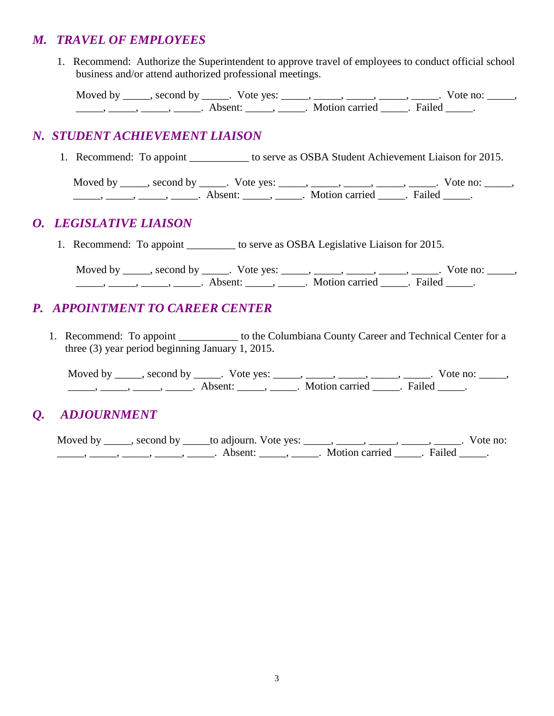#### *M. TRAVEL OF EMPLOYEES*

 1. Recommend: Authorize the Superintendent to approve travel of employees to conduct official school business and/or attend authorized professional meetings.

Moved by \_\_\_\_\_, second by \_\_\_\_\_. Vote yes: \_\_\_\_\_, \_\_\_\_\_, \_\_\_\_\_, \_\_\_\_\_, \_\_\_\_\_. Vote no: \_\_\_\_\_, \_\_\_\_\_, \_\_\_\_\_, \_\_\_\_\_, \_\_\_\_\_. Absent: \_\_\_\_\_, \_\_\_\_\_. Motion carried \_\_\_\_\_. Failed \_\_\_\_\_.

## *N. STUDENT ACHIEVEMENT LIAISON*

1. Recommend: To appoint \_\_\_\_\_\_\_\_\_\_\_ to serve as OSBA Student Achievement Liaison for 2015.

Moved by \_\_\_\_\_, second by \_\_\_\_\_. Vote yes: \_\_\_\_\_, \_\_\_\_\_, \_\_\_\_\_, \_\_\_\_\_, \_\_\_\_\_. Vote no: \_\_\_\_\_, \_\_\_\_\_, \_\_\_\_\_, \_\_\_\_\_, \_\_\_\_\_. Absent: \_\_\_\_\_, \_\_\_\_\_. Motion carried \_\_\_\_\_. Failed \_\_\_\_\_.

# *O. LEGISLATIVE LIAISON*

1. Recommend: To appoint to serve as OSBA Legislative Liaison for 2015.

Moved by \_\_\_\_\_, second by \_\_\_\_\_. Vote yes: \_\_\_\_\_, \_\_\_\_\_, \_\_\_\_\_, \_\_\_\_\_, \_\_\_\_\_. Vote no: \_\_\_\_\_,  $\frac{1}{\sqrt{1-\frac{1}{2}}}, \frac{1}{\sqrt{1-\frac{1}{2}}}, \frac{1}{\sqrt{1-\frac{1}{2}}}, \frac{1}{\sqrt{1-\frac{1}{2}}}, \frac{1}{\sqrt{1-\frac{1}{2}}}, \frac{1}{\sqrt{1-\frac{1}{2}}}, \frac{1}{\sqrt{1-\frac{1}{2}}}, \frac{1}{\sqrt{1-\frac{1}{2}}}, \frac{1}{\sqrt{1-\frac{1}{2}}}, \frac{1}{\sqrt{1-\frac{1}{2}}}, \frac{1}{\sqrt{1-\frac{1}{2}}}, \frac{1}{\sqrt{1-\frac{1}{2}}}, \frac{1}{\sqrt{1-\frac{1}{2}}$ 

# *P. APPOINTMENT TO CAREER CENTER*

1. Recommend: To appoint \_\_\_\_\_\_\_\_\_\_\_\_ to the Columbiana County Career and Technical Center for a three (3) year period beginning January 1, 2015.

Moved by \_\_\_\_\_, second by \_\_\_\_\_. Vote yes: \_\_\_\_\_, \_\_\_\_\_, \_\_\_\_\_, \_\_\_\_\_, \_\_\_\_\_. Vote no: \_\_\_\_\_, \_\_\_\_\_, \_\_\_\_\_, \_\_\_\_\_, \_\_\_\_\_. Absent: \_\_\_\_\_, \_\_\_\_\_. Motion carried \_\_\_\_\_. Failed \_\_\_\_\_.

# *Q. ADJOURNMENT*

Moved by \_\_\_\_, second by \_\_\_\_\_to adjourn. Vote yes: \_\_\_\_, \_\_\_\_, \_\_\_\_, \_\_\_\_, \_\_\_\_, \_\_\_\_. Vote no: ——, ——, ——, ——, Absent: \_\_\_\_, \_\_\_\_\_, Motion carried \_\_\_\_. Failed \_\_\_\_.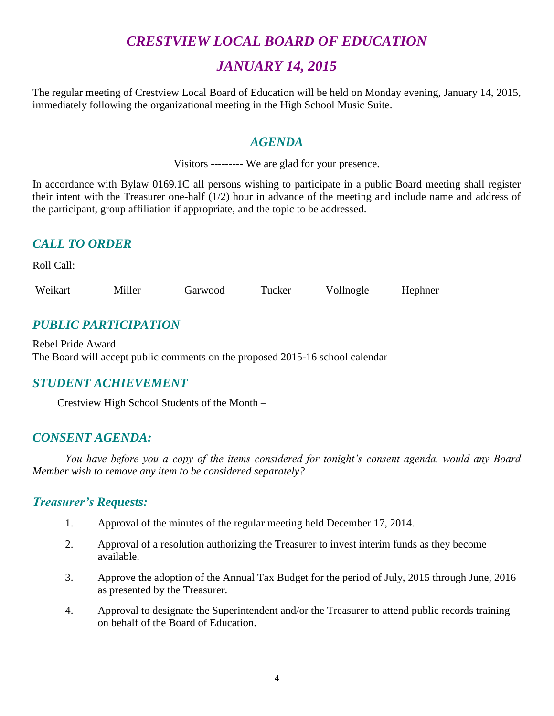# *CRESTVIEW LOCAL BOARD OF EDUCATION*

# *JANUARY 14, 2015*

The regular meeting of Crestview Local Board of Education will be held on Monday evening, January 14, 2015, immediately following the organizational meeting in the High School Music Suite.

#### *AGENDA*

Visitors --------- We are glad for your presence.

In accordance with Bylaw 0169.1C all persons wishing to participate in a public Board meeting shall register their intent with the Treasurer one-half (1/2) hour in advance of the meeting and include name and address of the participant, group affiliation if appropriate, and the topic to be addressed.

# *CALL TO ORDER*

Roll Call:

Weikart Miller Garwood Tucker Vollnogle Hephner

# *PUBLIC PARTICIPATION*

Rebel Pride Award The Board will accept public comments on the proposed 2015-16 school calendar

#### *STUDENT ACHIEVEMENT*

Crestview High School Students of the Month –

#### *CONSENT AGENDA:*

*You have before you a copy of the items considered for tonight's consent agenda, would any Board Member wish to remove any item to be considered separately?*

#### *Treasurer's Requests:*

- 1. Approval of the minutes of the regular meeting held December 17, 2014.
- 2. Approval of a resolution authorizing the Treasurer to invest interim funds as they become available.
- 3. Approve the adoption of the Annual Tax Budget for the period of July, 2015 through June, 2016 as presented by the Treasurer.
- 4. Approval to designate the Superintendent and/or the Treasurer to attend public records training on behalf of the Board of Education.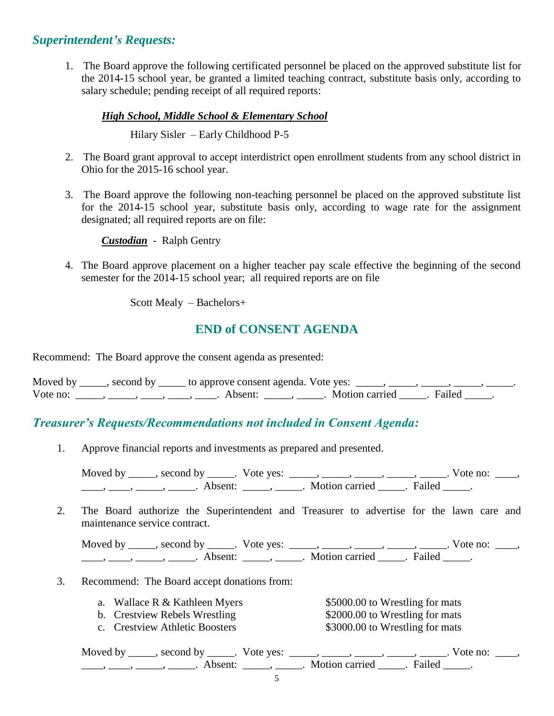#### *Superintendent's Requests:*

1. The Board approve the following certificated personnel be placed on the approved substitute list for the 2014-15 school year, be granted a limited teaching contract, substitute basis only, according to salary schedule; pending receipt of all required reports:

#### *High School, Middle School & Elementary School*

Hilary Sisler – Early Childhood P-5

- 2. The Board grant approval to accept interdistrict open enrollment students from any school district in Ohio for the 2015-16 school year.
- 3. The Board approve the following non-teaching personnel be placed on the approved substitute list for the 2014-15 school year, substitute basis only, according to wage rate for the assignment designated; all required reports are on file:

*Custodian* - Ralph Gentry

4. The Board approve placement on a higher teacher pay scale effective the beginning of the second semester for the 2014-15 school year; all required reports are on file

Scott Mealy – Bachelors+

# **END of CONSENT AGENDA**

Recommend: The Board approve the consent agenda as presented:

| Moved by | second by ______ to approve consent agenda. Vote yes: |                       |  |
|----------|-------------------------------------------------------|-----------------------|--|
| Vote no: | Absent:                                               | Motion carried Failed |  |

#### *Treasurer's Requests/Recommendations not included in Consent Agenda:*

1. Approve financial reports and investments as prepared and presented.

Moved by \_\_\_\_\_, second by \_\_\_\_\_. Vote yes: \_\_\_\_\_, \_\_\_\_\_, \_\_\_\_\_, \_\_\_\_\_, Vote no: \_\_\_\_, ——, ——, ——, ———, Absent: \_\_\_\_, \_\_\_\_\_. Motion carried \_\_\_\_\_. Failed \_\_\_\_\_.

2. The Board authorize the Superintendent and Treasurer to advertise for the lawn care and maintenance service contract.

Moved by \_\_\_\_\_, second by \_\_\_\_\_. Vote yes:  $\_\_\_\_\_\_\_\_\_\_\_\_\_\_\_\_\_\_$  \_\_\_\_, \_\_\_\_, \_\_\_\_. Vote no:  $\_\_\_\_\_\$ \_\_\_\_\_, \_\_\_\_\_\_, \_\_\_\_\_\_\_. Absent: \_\_\_\_\_\_, \_\_\_\_\_\_. Motion carried \_\_\_\_\_\_. Failed \_\_\_\_\_.

- 3. Recommend: The Board accept donations from:
	- a. Wallace R & Kathleen Myers \$5000.00 to Wrestling for mats
	-
	-

b. Crestview Rebels Wrestling  $$2000.00$  to Wrestling for mats c. Crestview Athletic Boosters \$3000.00 to Wrestling for mats

| Moved by second by . Vote yes: |                |        | Vote no: |
|--------------------------------|----------------|--------|----------|
| Absent <sup>.</sup>            | Motion carried | Failed |          |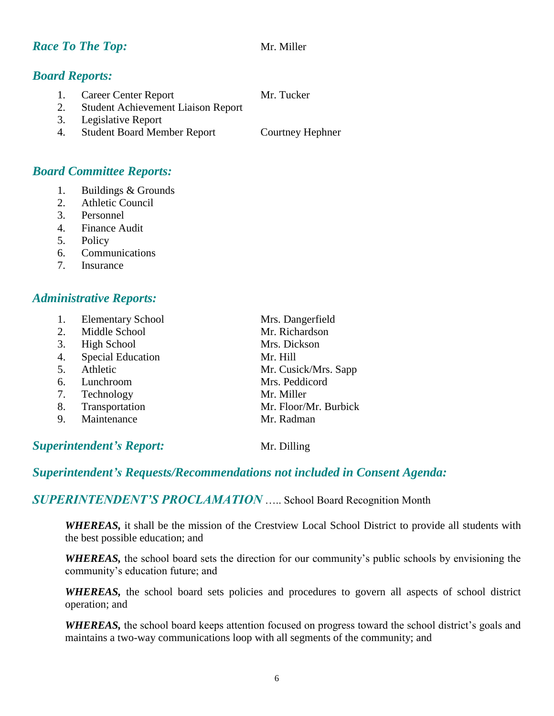#### *Race To The Top:* Mr. Miller

## *Board Reports:*

1. Career Center Report Mr. Tucker

- 2. Student Achievement Liaison Report
- 3. Legislative Report
- 4. Student Board Member Report Courtney Hephner

#### *Board Committee Reports:*

- 1. Buildings & Grounds
- 2. Athletic Council
- 3. Personnel
- 4. Finance Audit
- 5. Policy
- 6. Communications
- 7. Insurance

#### *Administrative Reports:*

| 1. | <b>Elementary School</b> | Mrs. Dangerfield      |
|----|--------------------------|-----------------------|
| 2. | Middle School            | Mr. Richardson        |
| 3. | <b>High School</b>       | Mrs. Dickson          |
| 4. | <b>Special Education</b> | Mr. Hill              |
| 5. | Athletic                 | Mr. Cusick/Mrs. Sapp  |
| 6. | Lunchroom                | Mrs. Peddicord        |
| 7. | Technology               | Mr. Miller            |
| 8. | Transportation           | Mr. Floor/Mr. Burbick |
| 9. | Maintenance              | Mr. Radman            |
|    |                          |                       |

#### **Superintendent's Report:** Mr. Dilling

#### *Superintendent's Requests/Recommendations not included in Consent Agenda:*

*SUPERINTENDENT'S PROCLAMATION* ….. School Board Recognition Month

*WHEREAS,* it shall be the mission of the Crestview Local School District to provide all students with the best possible education; and

*WHEREAS,* the school board sets the direction for our community's public schools by envisioning the community's education future; and

WHEREAS, the school board sets policies and procedures to govern all aspects of school district operation; and

*WHEREAS,* the school board keeps attention focused on progress toward the school district's goals and maintains a two-way communications loop with all segments of the community; and